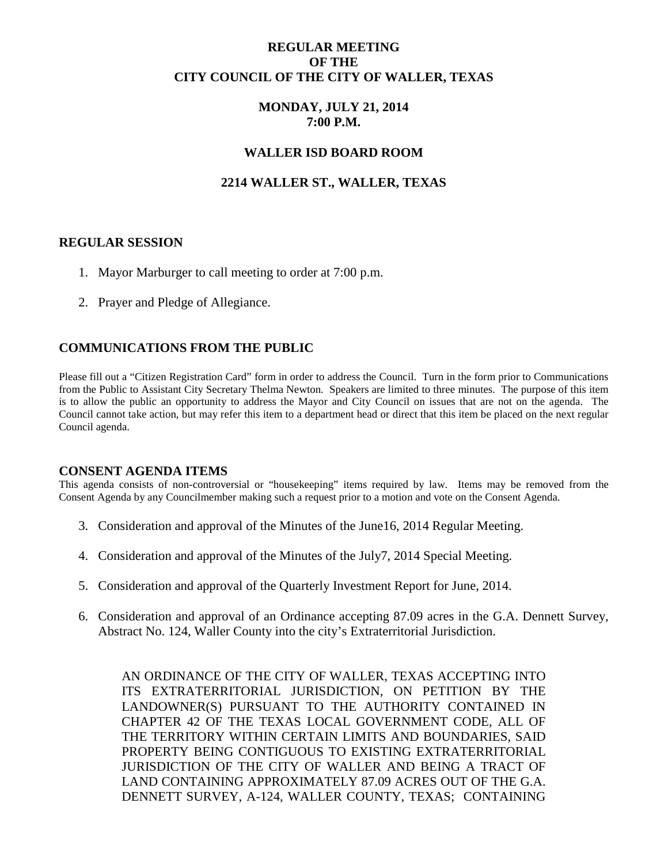## **REGULAR MEETING OF THE CITY COUNCIL OF THE CITY OF WALLER, TEXAS**

## **MONDAY, JULY 21, 2014 7:00 P.M.**

### **WALLER ISD BOARD ROOM**

## **2214 WALLER ST., WALLER, TEXAS**

#### **REGULAR SESSION**

- 1. Mayor Marburger to call meeting to order at 7:00 p.m.
- 2. Prayer and Pledge of Allegiance.

### **COMMUNICATIONS FROM THE PUBLIC**

Please fill out a "Citizen Registration Card" form in order to address the Council. Turn in the form prior to Communications from the Public to Assistant City Secretary Thelma Newton. Speakers are limited to three minutes. The purpose of this item is to allow the public an opportunity to address the Mayor and City Council on issues that are not on the agenda. The Council cannot take action, but may refer this item to a department head or direct that this item be placed on the next regular Council agenda.

#### **CONSENT AGENDA ITEMS**

This agenda consists of non-controversial or "housekeeping" items required by law. Items may be removed from the Consent Agenda by any Councilmember making such a request prior to a motion and vote on the Consent Agenda.

- 3. Consideration and approval of the Minutes of the June16, 2014 Regular Meeting.
- 4. Consideration and approval of the Minutes of the July7, 2014 Special Meeting.
- 5. Consideration and approval of the Quarterly Investment Report for June, 2014.
- 6. Consideration and approval of an Ordinance accepting 87.09 acres in the G.A. Dennett Survey, Abstract No. 124, Waller County into the city's Extraterritorial Jurisdiction.

AN ORDINANCE OF THE CITY OF WALLER, TEXAS ACCEPTING INTO ITS EXTRATERRITORIAL JURISDICTION, ON PETITION BY THE LANDOWNER(S) PURSUANT TO THE AUTHORITY CONTAINED IN CHAPTER 42 OF THE TEXAS LOCAL GOVERNMENT CODE, ALL OF THE TERRITORY WITHIN CERTAIN LIMITS AND BOUNDARIES, SAID PROPERTY BEING CONTIGUOUS TO EXISTING EXTRATERRITORIAL JURISDICTION OF THE CITY OF WALLER AND BEING A TRACT OF LAND CONTAINING APPROXIMATELY 87.09 ACRES OUT OF THE G.A. DENNETT SURVEY, A-124, WALLER COUNTY, TEXAS; CONTAINING